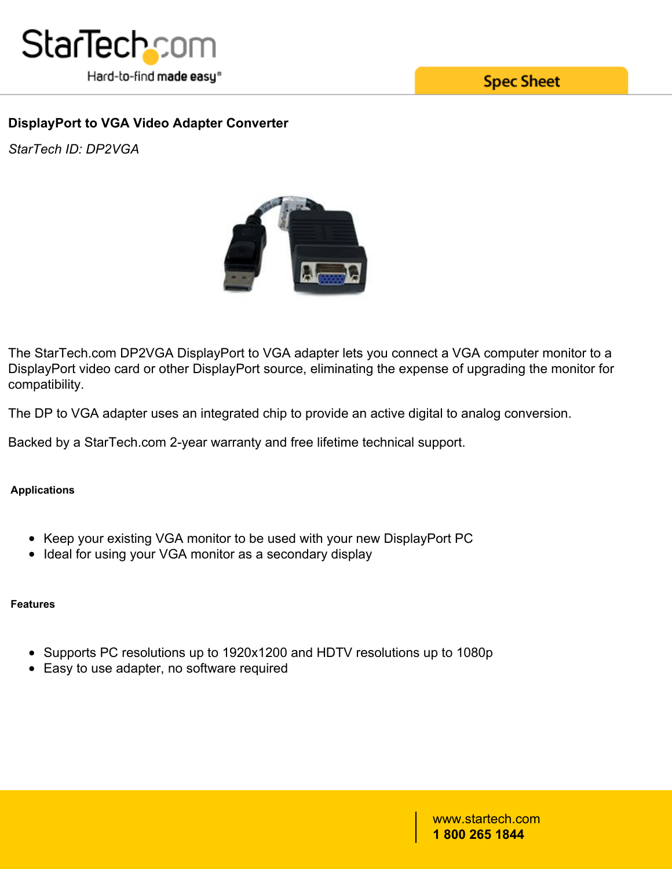

**Spec Sheet** 

## **DisplayPort to VGA Video Adapter Converter**

*StarTech ID: DP2VGA*



The StarTech.com DP2VGA DisplayPort to VGA adapter lets you connect a VGA computer monitor to a DisplayPort video card or other DisplayPort source, eliminating the expense of upgrading the monitor for compatibility.

The DP to VGA adapter uses an integrated chip to provide an active digital to analog conversion.

Backed by a StarTech.com 2-year warranty and free lifetime technical support.

#### **Applications**

- Keep your existing VGA monitor to be used with your new DisplayPort PC
- Ideal for using your VGA monitor as a secondary display

#### **Features**

- Supports PC resolutions up to 1920x1200 and HDTV resolutions up to 1080p
- Easy to use adapter, no software required

#### www.startech.com **1 800 265 1844**